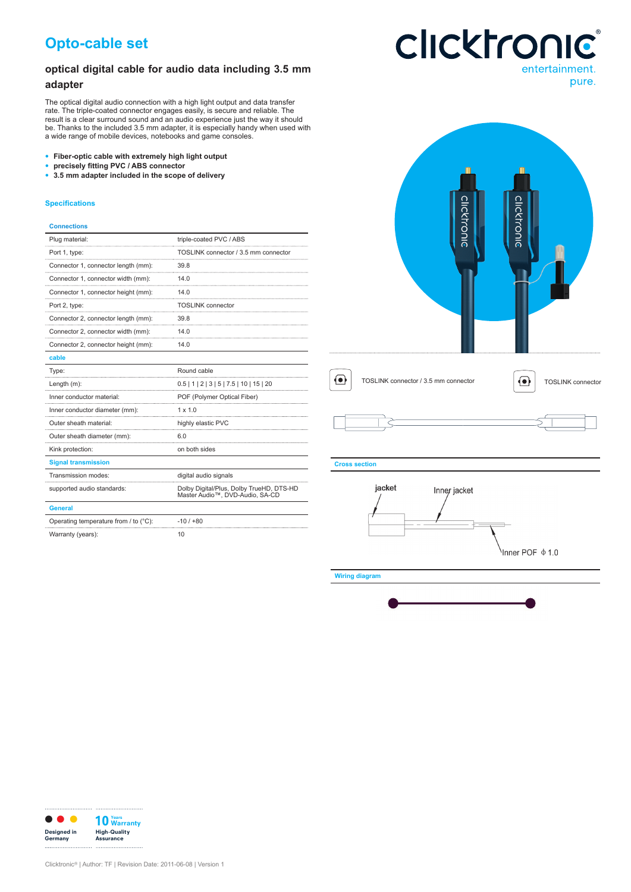# **Opto-cable set**

## **optical digital cable for audio data including 3.5 mm adapter**

The optical digital audio connection with a high light output and data transfer rate. The triple-coated connector engages easily, is secure and reliable. The result is a clear surround sound and an audio experience just the way it should be. Thanks to the included 3.5 mm adapter, it is especially handy when used with a wide range of mobile devices, notebooks and game consoles.

- **• Fiber-optic cable with extremely high light output**
- **• precisely fitting PVC / ABS connector**
- **• 3.5 mm adapter included in the scope of delivery**

### **Specifications**

### **Connections**

| Plug material:                        | triple-coated PVC / ABS                                                     |  |
|---------------------------------------|-----------------------------------------------------------------------------|--|
| Port 1, type:                         | TOSLINK connector / 3.5 mm connector                                        |  |
| Connector 1, connector length (mm):   | 39.8                                                                        |  |
| Connector 1, connector width (mm):    | 14.0                                                                        |  |
| Connector 1, connector height (mm):   | 140                                                                         |  |
| Port 2, type:                         | <b>TOSLINK</b> connector                                                    |  |
| Connector 2, connector length (mm):   | 39.8                                                                        |  |
| Connector 2, connector width (mm):    | 14.0                                                                        |  |
| Connector 2, connector height (mm):   | 14.0                                                                        |  |
| cable                                 |                                                                             |  |
| Type:                                 | Round cable                                                                 |  |
| Length (m):                           | $0.5$   1   2   3   5   7.5   10   15   20                                  |  |
| Inner conductor material:             | POF (Polymer Optical Fiber)                                                 |  |
| Inner conductor diameter (mm):        | $1 \times 10$                                                               |  |
| Outer sheath material:                | highly elastic PVC                                                          |  |
| Outer sheath diameter (mm):           | 6.0                                                                         |  |
| Kink protection:                      | on both sides                                                               |  |
| <b>Signal transmission</b>            |                                                                             |  |
| Transmission modes:                   | digital audio signals                                                       |  |
| supported audio standards:            | Dolby Digital/Plus, Dolby TrueHD, DTS-HD<br>Master Audio™, DVD-Audio, SA-CD |  |
| <b>General</b>                        |                                                                             |  |
| Operating temperature from / to (°C): | $-10/100$                                                                   |  |



# **Clicktronic®** entertainment.

pure.

Warranty (years): 10





Nnner POF \$1.0